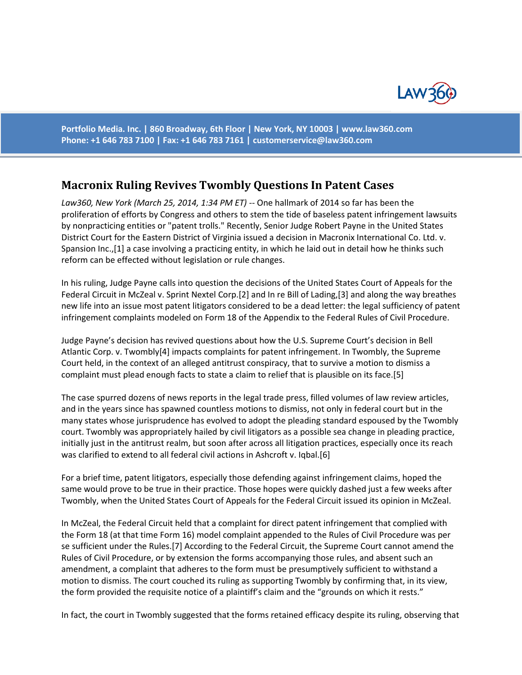

**Portfolio Media. Inc. | 860 Broadway, 6th Floor | New York, NY 10003 | www.law360.com Phone: +1 646 783 7100 | Fax: +1 646 783 7161 | [customerservice@law360.com](mailto:customerservice@law360.com)**

## **Macronix Ruling Revives Twombly Questions In Patent Cases**

*Law360, New York (March 25, 2014, 1:34 PM ET)* -- One hallmark of 2014 so far has been the proliferation of efforts by Congress and others to stem the tide of baseless patent infringement lawsuits by nonpracticing entities or "patent trolls." Recently, Senior Judge Robert Payne in the United States District Court for the Eastern District of Virginia issued a decision in Macronix International Co. Ltd. v. Spansion Inc.,[1] a case involving a practicing entity, in which he laid out in detail how he thinks such reform can be effected without legislation or rule changes.

In his ruling, Judge Payne calls into question the decisions of the United States Court of Appeals for the Federal Circuit in McZeal v. Sprint Nextel Corp.[2] and In re Bill of Lading,[3] and along the way breathes new life into an issue most patent litigators considered to be a dead letter: the legal sufficiency of patent infringement complaints modeled on Form 18 of the Appendix to the Federal Rules of Civil Procedure.

Judge Payne's decision has revived questions about how the U.S. Supreme Court's decision in Bell Atlantic Corp. v. Twombly[4] impacts complaints for patent infringement. In Twombly, the Supreme Court held, in the context of an alleged antitrust conspiracy, that to survive a motion to dismiss a complaint must plead enough facts to state a claim to relief that is plausible on its face.[5]

The case spurred dozens of news reports in the legal trade press, filled volumes of law review articles, and in the years since has spawned countless motions to dismiss, not only in federal court but in the many states whose jurisprudence has evolved to adopt the pleading standard espoused by the Twombly court. Twombly was appropriately hailed by civil litigators as a possible sea change in pleading practice, initially just in the antitrust realm, but soon after across all litigation practices, especially once its reach was clarified to extend to all federal civil actions in Ashcroft v. Iqbal.[6]

For a brief time, patent litigators, especially those defending against infringement claims, hoped the same would prove to be true in their practice. Those hopes were quickly dashed just a few weeks after Twombly, when the United States Court of Appeals for the Federal Circuit issued its opinion in McZeal.

In McZeal, the Federal Circuit held that a complaint for direct patent infringement that complied with the Form 18 (at that time Form 16) model complaint appended to the Rules of Civil Procedure was per se sufficient under the Rules.[7] According to the Federal Circuit, the Supreme Court cannot amend the Rules of Civil Procedure, or by extension the forms accompanying those rules, and absent such an amendment, a complaint that adheres to the form must be presumptively sufficient to withstand a motion to dismiss. The court couched its ruling as supporting Twombly by confirming that, in its view, the form provided the requisite notice of a plaintiff's claim and the "grounds on which it rests."

In fact, the court in Twombly suggested that the forms retained efficacy despite its ruling, observing that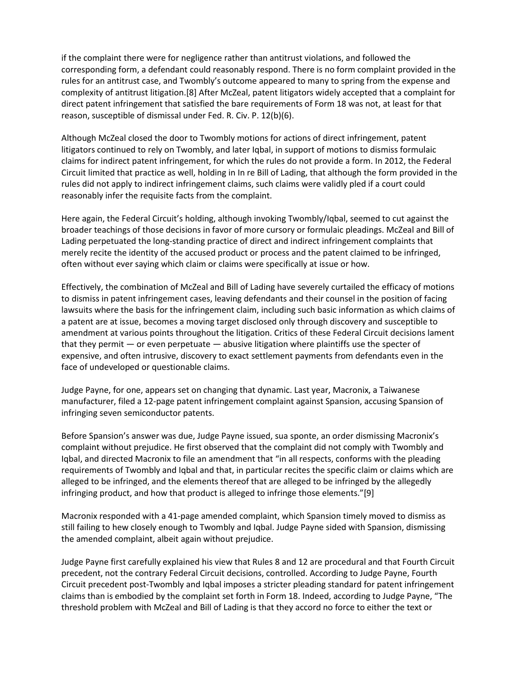if the complaint there were for negligence rather than antitrust violations, and followed the corresponding form, a defendant could reasonably respond. There is no form complaint provided in the rules for an antitrust case, and Twombly's outcome appeared to many to spring from the expense and complexity of antitrust litigation.[8] After McZeal, patent litigators widely accepted that a complaint for direct patent infringement that satisfied the bare requirements of Form 18 was not, at least for that reason, susceptible of dismissal under Fed. R. Civ. P. 12(b)(6).

Although McZeal closed the door to Twombly motions for actions of direct infringement, patent litigators continued to rely on Twombly, and later Iqbal, in support of motions to dismiss formulaic claims for indirect patent infringement, for which the rules do not provide a form. In 2012, the Federal Circuit limited that practice as well, holding in In re Bill of Lading, that although the form provided in the rules did not apply to indirect infringement claims, such claims were validly pled if a court could reasonably infer the requisite facts from the complaint.

Here again, the Federal Circuit's holding, although invoking Twombly/Iqbal, seemed to cut against the broader teachings of those decisions in favor of more cursory or formulaic pleadings. McZeal and Bill of Lading perpetuated the long-standing practice of direct and indirect infringement complaints that merely recite the identity of the accused product or process and the patent claimed to be infringed, often without ever saying which claim or claims were specifically at issue or how.

Effectively, the combination of McZeal and Bill of Lading have severely curtailed the efficacy of motions to dismiss in patent infringement cases, leaving defendants and their counsel in the position of facing lawsuits where the basis for the infringement claim, including such basic information as which claims of a patent are at issue, becomes a moving target disclosed only through discovery and susceptible to amendment at various points throughout the litigation. Critics of these Federal Circuit decisions lament that they permit  $-$  or even perpetuate  $-$  abusive litigation where plaintiffs use the specter of expensive, and often intrusive, discovery to exact settlement payments from defendants even in the face of undeveloped or questionable claims.

Judge Payne, for one, appears set on changing that dynamic. Last year, Macronix, a Taiwanese manufacturer, filed a 12-page patent infringement complaint against Spansion, accusing Spansion of infringing seven semiconductor patents.

Before Spansion's answer was due, Judge Payne issued, sua sponte, an order dismissing Macronix's complaint without prejudice. He first observed that the complaint did not comply with Twombly and Iqbal, and directed Macronix to file an amendment that "in all respects, conforms with the pleading requirements of Twombly and Iqbal and that, in particular recites the specific claim or claims which are alleged to be infringed, and the elements thereof that are alleged to be infringed by the allegedly infringing product, and how that product is alleged to infringe those elements."[9]

Macronix responded with a 41-page amended complaint, which Spansion timely moved to dismiss as still failing to hew closely enough to Twombly and Iqbal. Judge Payne sided with Spansion, dismissing the amended complaint, albeit again without prejudice.

Judge Payne first carefully explained his view that Rules 8 and 12 are procedural and that Fourth Circuit precedent, not the contrary Federal Circuit decisions, controlled. According to Judge Payne, Fourth Circuit precedent post-Twombly and Iqbal imposes a stricter pleading standard for patent infringement claims than is embodied by the complaint set forth in Form 18. Indeed, according to Judge Payne, "The threshold problem with McZeal and Bill of Lading is that they accord no force to either the text or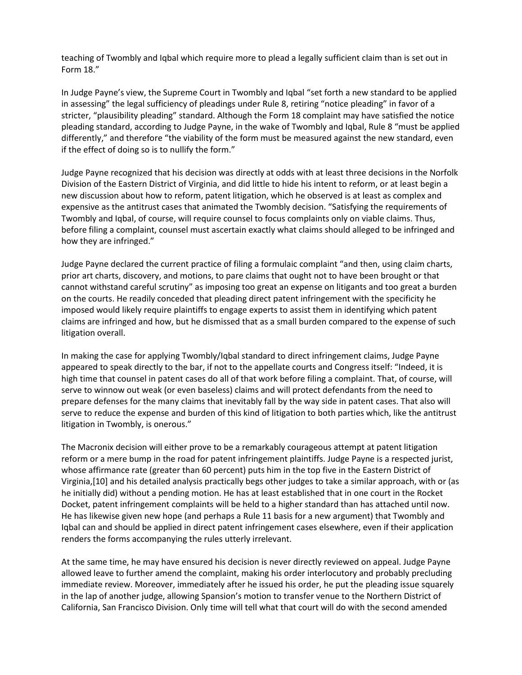teaching of Twombly and Iqbal which require more to plead a legally sufficient claim than is set out in Form 18."

In Judge Payne's view, the Supreme Court in Twombly and Iqbal "set forth a new standard to be applied in assessing" the legal sufficiency of pleadings under Rule 8, retiring "notice pleading" in favor of a stricter, "plausibility pleading" standard. Although the Form 18 complaint may have satisfied the notice pleading standard, according to Judge Payne, in the wake of Twombly and Iqbal, Rule 8 "must be applied differently," and therefore "the viability of the form must be measured against the new standard, even if the effect of doing so is to nullify the form."

Judge Payne recognized that his decision was directly at odds with at least three decisions in the Norfolk Division of the Eastern District of Virginia, and did little to hide his intent to reform, or at least begin a new discussion about how to reform, patent litigation, which he observed is at least as complex and expensive as the antitrust cases that animated the Twombly decision. "Satisfying the requirements of Twombly and Iqbal, of course, will require counsel to focus complaints only on viable claims. Thus, before filing a complaint, counsel must ascertain exactly what claims should alleged to be infringed and how they are infringed."

Judge Payne declared the current practice of filing a formulaic complaint "and then, using claim charts, prior art charts, discovery, and motions, to pare claims that ought not to have been brought or that cannot withstand careful scrutiny" as imposing too great an expense on litigants and too great a burden on the courts. He readily conceded that pleading direct patent infringement with the specificity he imposed would likely require plaintiffs to engage experts to assist them in identifying which patent claims are infringed and how, but he dismissed that as a small burden compared to the expense of such litigation overall.

In making the case for applying Twombly/Iqbal standard to direct infringement claims, Judge Payne appeared to speak directly to the bar, if not to the appellate courts and Congress itself: "Indeed, it is high time that counsel in patent cases do all of that work before filing a complaint. That, of course, will serve to winnow out weak (or even baseless) claims and will protect defendants from the need to prepare defenses for the many claims that inevitably fall by the way side in patent cases. That also will serve to reduce the expense and burden of this kind of litigation to both parties which, like the antitrust litigation in Twombly, is onerous."

The Macronix decision will either prove to be a remarkably courageous attempt at patent litigation reform or a mere bump in the road for patent infringement plaintiffs. Judge Payne is a respected jurist, whose affirmance rate (greater than 60 percent) puts him in the top five in the Eastern District of Virginia,[10] and his detailed analysis practically begs other judges to take a similar approach, with or (as he initially did) without a pending motion. He has at least established that in one court in the Rocket Docket, patent infringement complaints will be held to a higher standard than has attached until now. He has likewise given new hope (and perhaps a Rule 11 basis for a new argument) that Twombly and Iqbal can and should be applied in direct patent infringement cases elsewhere, even if their application renders the forms accompanying the rules utterly irrelevant.

At the same time, he may have ensured his decision is never directly reviewed on appeal. Judge Payne allowed leave to further amend the complaint, making his order interlocutory and probably precluding immediate review. Moreover, immediately after he issued his order, he put the pleading issue squarely in the lap of another judge, allowing Spansion's motion to transfer venue to the Northern District of California, San Francisco Division. Only time will tell what that court will do with the second amended